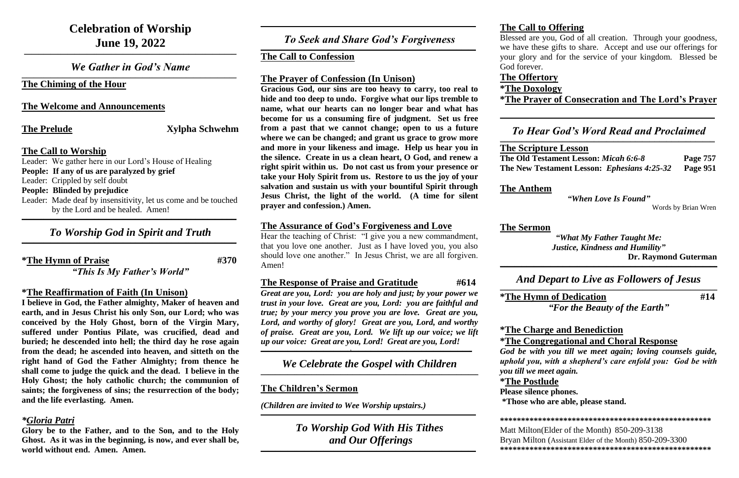## **Celebration of Worship June 19, 2022**

*We Gather in God's Name*  $\mathcal{L}_\mathcal{L} = \mathcal{L}_\mathcal{L} = \mathcal{L}_\mathcal{L} = \mathcal{L}_\mathcal{L} = \mathcal{L}_\mathcal{L} = \mathcal{L}_\mathcal{L} = \mathcal{L}_\mathcal{L} = \mathcal{L}_\mathcal{L} = \mathcal{L}_\mathcal{L} = \mathcal{L}_\mathcal{L} = \mathcal{L}_\mathcal{L} = \mathcal{L}_\mathcal{L} = \mathcal{L}_\mathcal{L} = \mathcal{L}_\mathcal{L} = \mathcal{L}_\mathcal{L} = \mathcal{L}_\mathcal{L} = \mathcal{L}_\mathcal{L}$ 

**\_\_\_\_\_\_\_\_\_\_\_\_\_\_\_\_\_\_\_\_\_\_\_\_\_\_\_\_\_\_\_\_\_\_\_\_\_\_\_\_\_\_\_\_\_\_\_\_\_\_\_\_\_\_\_\_\_\_\_\_\_\_\_\_\_\_\_\_\_\_\_\_\_\_\_\_\_\_\_\_\_\_\_\_\_\_\_\_**

**The Chiming of the Hour**

**The Welcome and Announcements**

**The Prelude Xylpha Schwehm** 

## **The Call to Worship**

## *To Worship God in Spirit and Truth*  $\mathcal{L}_\mathcal{L} = \mathcal{L}_\mathcal{L} = \mathcal{L}_\mathcal{L} = \mathcal{L}_\mathcal{L} = \mathcal{L}_\mathcal{L} = \mathcal{L}_\mathcal{L} = \mathcal{L}_\mathcal{L} = \mathcal{L}_\mathcal{L} = \mathcal{L}_\mathcal{L} = \mathcal{L}_\mathcal{L} = \mathcal{L}_\mathcal{L} = \mathcal{L}_\mathcal{L} = \mathcal{L}_\mathcal{L} = \mathcal{L}_\mathcal{L} = \mathcal{L}_\mathcal{L} = \mathcal{L}_\mathcal{L} = \mathcal{L}_\mathcal{L}$

Leader: We gather here in our Lord's House of Healing **People: If any of us are paralyzed by grief** Leader: Crippled by self doubt **People: Blinded by prejudice** Leader: Made deaf by insensitivity, let us come and be touched by the Lord and be healed. Amen! **\_\_\_\_\_\_\_\_\_\_\_\_\_\_\_\_\_\_\_\_\_\_\_\_\_\_\_\_\_\_\_\_\_\_\_\_\_\_\_\_\_\_\_\_\_\_\_\_\_\_\_\_\_\_\_\_\_\_\_\_\_\_\_\_\_\_\_\_\_\_\_\_\_\_\_\_\_\_\_\_\_\_\_\_\_\_\_\_\_**

**\*The Hymn of Praise #370**

*"This Is My Father's World"*

## **\*The Reaffirmation of Faith (In Unison)**

### *To Seek and Share God's Forgiveness*  $\mathcal{L}_\mathcal{L} = \mathcal{L}_\mathcal{L} = \mathcal{L}_\mathcal{L} = \mathcal{L}_\mathcal{L} = \mathcal{L}_\mathcal{L} = \mathcal{L}_\mathcal{L} = \mathcal{L}_\mathcal{L} = \mathcal{L}_\mathcal{L} = \mathcal{L}_\mathcal{L} = \mathcal{L}_\mathcal{L} = \mathcal{L}_\mathcal{L} = \mathcal{L}_\mathcal{L} = \mathcal{L}_\mathcal{L} = \mathcal{L}_\mathcal{L} = \mathcal{L}_\mathcal{L} = \mathcal{L}_\mathcal{L} = \mathcal{L}_\mathcal{L}$

**I believe in God, the Father almighty, Maker of heaven and earth, and in Jesus Christ his only Son, our Lord; who was conceived by the Holy Ghost, born of the Virgin Mary, suffered under Pontius Pilate, was crucified, dead and buried; he descended into hell; the third day he rose again from the dead; he ascended into heaven, and sitteth on the right hand of God the Father Almighty; from thence he shall come to judge the quick and the dead. I believe in the Holy Ghost; the holy catholic church; the communion of saints; the forgiveness of sins; the resurrection of the body; and the life everlasting. Amen.**

## *\*Gloria Patri*

**Glory be to the Father, and to the Son, and to the Holy Ghost. As it was in the beginning, is now, and ever shall be, world without end. Amen. Amen.**

**\_\_\_\_\_\_\_\_\_\_\_\_\_\_\_\_\_\_\_\_\_\_\_\_\_\_\_\_\_\_\_\_\_\_\_\_\_\_\_\_\_\_\_\_\_\_\_\_\_\_\_\_\_\_\_\_\_\_\_\_\_\_\_\_\_\_\_\_\_\_\_\_\_\_\_\_\_\_\_\_\_\_\_\_\_\_\_\_\_**

## **The Call to Confession**

## **The Prayer of Confession (In Unison)**

## *To Hear God's Word Read and Proclaimed*  $\mathcal{L}_\mathcal{L} = \mathcal{L}_\mathcal{L} = \mathcal{L}_\mathcal{L} = \mathcal{L}_\mathcal{L} = \mathcal{L}_\mathcal{L} = \mathcal{L}_\mathcal{L} = \mathcal{L}_\mathcal{L} = \mathcal{L}_\mathcal{L} = \mathcal{L}_\mathcal{L} = \mathcal{L}_\mathcal{L} = \mathcal{L}_\mathcal{L} = \mathcal{L}_\mathcal{L} = \mathcal{L}_\mathcal{L} = \mathcal{L}_\mathcal{L} = \mathcal{L}_\mathcal{L} = \mathcal{L}_\mathcal{L} = \mathcal{L}_\mathcal{L}$

**Gracious God, our sins are too heavy to carry, too real to hide and too deep to undo. Forgive what our lips tremble to name, what our hearts can no longer bear and what has become for us a consuming fire of judgment. Set us free from a past that we cannot change; open to us a future where we can be changed; and grant us grace to grow more and more in your likeness and image. Help us hear you in the silence. Create in us a clean heart, O God, and renew a right spirit within us. Do not cast us from your presence or take your Holy Spirit from us. Restore to us the joy of your salvation and sustain us with your bountiful Spirit through Jesus Christ, the light of the world. (A time for silent prayer and confession.) Amen.**

## **The Assurance of God's Forgiveness and Love**

Hear the teaching of Christ: "I give you a new commandment, that you love one another. Just as I have loved you, you also should love one another." In Jesus Christ, we are all forgiven. Amen!

## **The Response of Praise and Gratitude**  $#614$

*Great are you, Lord: you are holy and just; by your power we trust in your love. Great are you, Lord: you are faithful and true; by your mercy you prove you are love. Great are you, Lord, and worthy of glory! Great are you, Lord, and worthy of praise. Great are you, Lord. We lift up our voice; we lift up our voice: Great are you, Lord! Great are you, Lord!*

**\_\_\_\_\_\_\_\_\_\_\_\_\_\_\_\_\_\_\_\_\_\_\_\_\_\_\_\_\_\_\_\_\_\_\_\_\_,\_\_\_\_\_\_\_\_\_\_\_\_\_\_\_\_\_\_\_\_\_\_\_\_\_\_\_\_\_\_\_\_\_\_\_\_\_\_\_\_\_\_\_\_\_\_\_\_\_\_**

*We Celebrate the Gospel with Children* **\_\_\_\_\_\_\_\_\_\_\_\_\_\_\_\_\_\_\_\_\_\_\_\_\_\_\_\_\_\_\_\_\_\_\_\_\_\_\_\_\_\_\_\_\_\_\_\_\_\_\_\_\_\_\_\_\_\_\_\_\_\_\_\_\_\_\_\_\_\_\_\_\_\_\_\_\_\_\_\_\_\_\_\_\_\_\_\_\_\_**

## **The Children's Sermon**

*(Children are invited to Wee Worship upstairs.)*

**\_\_\_\_\_\_\_\_\_\_\_\_\_\_\_\_\_\_\_\_\_\_\_\_\_\_\_\_\_\_\_\_\_\_\_\_\_\_\_\_\_\_\_\_\_\_\_\_\_\_\_\_\_\_\_\_\_\_\_\_\_\_\_\_\_\_\_\_\_\_\_\_\_\_\_\_\_\_\_\_\_\_\_\_\_\_\_\_\_**

*To Worship God With His Tithes and Our Offerings*

 $\mathcal{L}_\mathcal{L} = \mathcal{L}_\mathcal{L} = \mathcal{L}_\mathcal{L} = \mathcal{L}_\mathcal{L} = \mathcal{L}_\mathcal{L} = \mathcal{L}_\mathcal{L} = \mathcal{L}_\mathcal{L} = \mathcal{L}_\mathcal{L} = \mathcal{L}_\mathcal{L} = \mathcal{L}_\mathcal{L} = \mathcal{L}_\mathcal{L} = \mathcal{L}_\mathcal{L} = \mathcal{L}_\mathcal{L} = \mathcal{L}_\mathcal{L} = \mathcal{L}_\mathcal{L} = \mathcal{L}_\mathcal{L} = \mathcal{L}_\mathcal{L}$ 

## **The Call to Offering**

Blessed are you, God of all creation. Through your goodness, we have these gifts to share. Accept and use our offerings for your glory and for the service of your kingdom. Blessed be

God forever.

**The Offertory \*The Doxology \*The Prayer of Consecration and The Lord's Prayer**

**\_\_\_\_\_\_\_\_\_\_\_\_\_\_\_\_\_\_\_\_\_\_\_\_\_\_\_\_\_\_\_\_\_\_\_\_\_\_\_\_\_\_\_\_\_\_\_\_\_\_\_\_\_\_\_\_\_\_\_\_\_\_\_\_\_\_\_\_\_\_\_\_\_\_\_\_\_\_\_\_\_\_\_\_\_\_\_\_\_**

**The Scripture Lesson The Old Testament Lesson:** *Micah 6:6-8* **Page 757 The New Testament Lesson:** *Ephesians 4:25-32* **Page 951**

## **The Anthem**

*"When Love Is Found"*

Words by Brian Wren

## **The Sermon**

*"What My Father Taught Me: Justice, Kindness and Humility"*  **Dr. Raymond Guterman**

**\_\_\_\_\_\_\_\_\_\_\_\_\_\_\_\_\_\_\_\_\_\_\_\_\_\_\_\_\_\_\_\_\_\_\_\_\_\_\_\_\_\_\_\_\_\_\_\_\_\_\_\_\_\_\_\_\_\_\_\_\_\_\_\_\_\_\_\_\_\_\_\_\_\_\_\_\_\_\_\_\_\_\_\_\_\_\_\_\_\_**

## *And Depart to Live as Followers of Jesus*

# **\_\_\_\_\_\_\_\_\_\_\_\_\_\_\_\_\_\_\_\_\_\_\_\_\_\_\_\_\_\_\_\_\_\_\_\_\_\_\_\_\_\_\_\_\_\_\_\_\_\_\_\_\_\_\_\_\_\_\_\_\_\_\_\_\_\_\_\_\_\_\_\_\_\_\_\_\_\_\_\_\_\_\_\_\_\_\_\_\_\_**

**\*The Hymn of Dedication #14**

*"For the Beauty of the Earth"*

## **\*The Charge and Benediction \*The Congregational and Choral Response**

*God be with you till we meet again; loving counsels guide, uphold you, with a shepherd's care enfold you: God be with* 

*you till we meet again.* **\*The Postlude Please silence phones.** 

# **\*Those who are able, please stand.**

**\*\*\*\*\*\*\*\*\*\*\*\*\*\*\*\*\*\*\*\*\*\*\*\*\*\*\*\*\*\*\*\*\*\*\*\*\*\*\*\*\*\*\*\*\*\*\*\*\*\***

Matt Milton(Elder of the Month) 850-209-3138 Bryan Milton (Assistant Elder of the Month) 850-209-3300 **\*\*\*\*\*\*\*\*\*\*\*\*\*\*\*\*\*\*\*\*\*\*\*\*\*\*\*\*\*\*\*\*\*\*\*\*\*\*\*\*\*\*\*\*\*\*\*\*\*\***